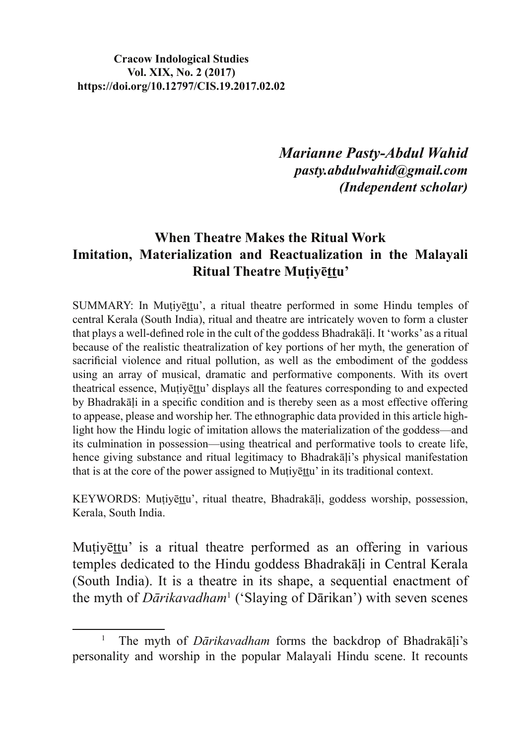*Marianne Pasty-Abdul Wahid pasty.abdulwahid@gmail.com (Independent scholar)*

### **When Theatre Makes the Ritual Work Imitation, Materialization and Reactualization in the Malayali Ritual Theatre Mutivettu'**

SUMMARY: In Mutiyettu', a ritual theatre performed in some Hindu temples of central Kerala (South India), ritual and theatre are intricately woven to form a cluster that plays a well-defined role in the cult of the goddess Bhadrakali. It 'works' as a ritual because of the realistic theatralization of key portions of her myth, the generation of sacrificial violence and ritual pollution, as well as the embodiment of the goddess using an array of musical, dramatic and performative components. With its overt theatrical essence, Mutiyettu' displays all the features corresponding to and expected by Bhadrakāli in a specific condition and is thereby seen as a most effective offering to appease, please and worship her. The ethnographic data provided in this article highlight how the Hindu logic of imitation allows the materialization of the goddess—and its culmination in possession—using theatrical and performative tools to create life, hence giving substance and ritual legitimacy to Bhadrakali's physical manifestation that is at the core of the power assigned to Mutivettu' in its traditional context.

KEYWORDS: Muțiyettu', ritual theatre, Bhadrakāļi, goddess worship, possession, Kerala, South India.

Mutiyēttu' is a ritual theatre performed as an offering in various temples dedicated to the Hindu goddess Bhadrakali in Central Kerala (South India). It is a theatre in its shape, a sequential enactment of the myth of *Dārikavadham*<sup>1</sup> ('Slaying of Dārikan') with seven scenes

<sup>1</sup> The myth of *Dārikavadham* forms the backdrop of Bhadrakāli's personality and worship in the popular Malayali Hindu scene. It recounts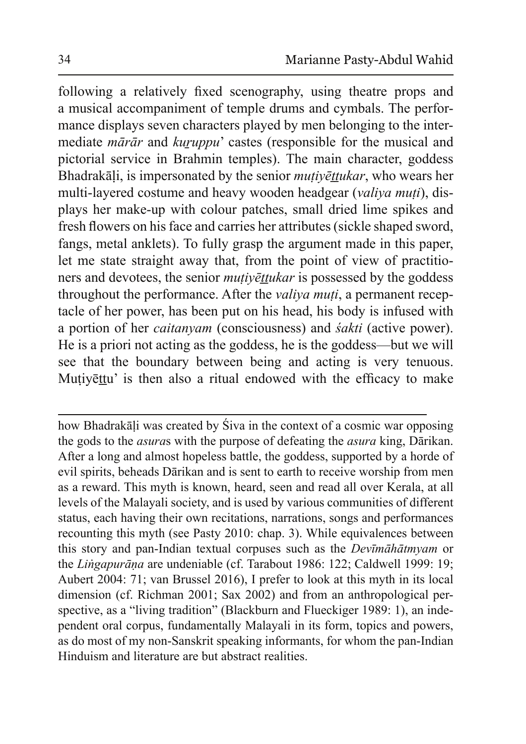following a relatively fixed scenography, using theatre props and a musical accompaniment of temple drums and cymbals. The performance displays seven characters played by men belonging to the intermediate *mārār* and *kuruppu* castes (responsible for the musical and pictorial service in Brahmin temples). The main character, goddess Bhadrakāļi, is impersonated by the senior *muțiyēttukar*, who wears her multi-layered costume and heavy wooden headgear (*valiya muti*), displays her make-up with colour patches, small dried lime spikes and fresh flowers on his face and carries her attributes (sickle shaped sword, fangs, metal anklets). To fully grasp the argument made in this paper, let me state straight away that, from the point of view of practitioners and devotees, the senior *mutivettukar* is possessed by the goddess throughout the performance. After the *valiva muti*, a permanent receptacle of her power, has been put on his head, his body is infused with a portion of her *caitanyam* (consciousness) and *šakti* (active power). He is a priori not acting as the goddess, he is the goddess—but we will see that the boundary between being and acting is very tenuous. Mutiyettu' is then also a ritual endowed with the efficacy to make

how Bhadrakāļi was created by Śiva in the context of a cosmic war opposing the gods to the *asuras* with the purpose of defeating the *asura* king, Dārikan. After a long and almost hopeless battle, the goddess, supported by a horde of evil spirits, beheads Dārikan and is sent to earth to receive worship from men as a reward. This myth is known, heard, seen and read all over Kerala, at all levels of the Malayali society, and is used by various communities of different status, each having their own recitations, narrations, songs and performances recounting this myth (see Pasty 2010: chap. 3). While equivalences between this story and pan-Indian textual corpuses such as the *Devimalation* or the *Lingapurāna* are undeniable (cf. Tarabout 1986: 122; Caldwell 1999: 19; Aubert 2004: 71; van Brussel 2016), I prefer to look at this myth in its local dimension (cf. Richman 2001; Sax 2002) and from an anthropological perspective, as a "living tradition" (Blackburn and Flueckiger 1989: 1), an independent oral corpus, fundamentally Malayali in its form, topics and powers, as do most of my non-Sanskrit speaking informants, for whom the pan-Indian Hinduism and literature are but abstract realities.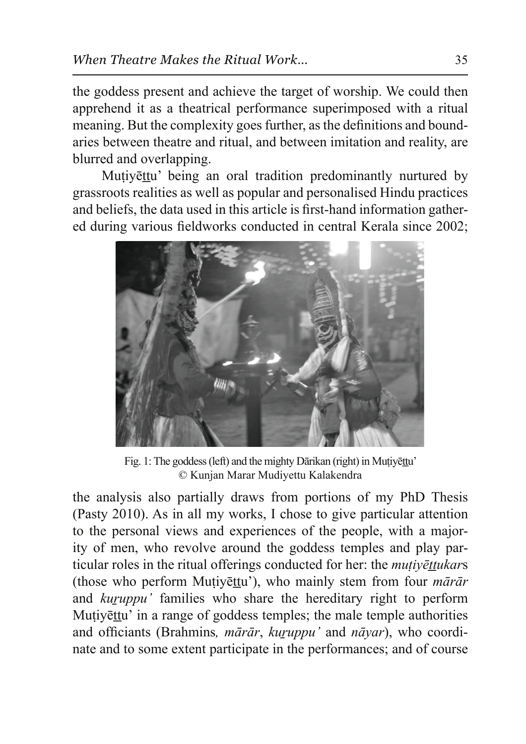the goddess present and achieve the target of worship. We could then apprehend it as a theatrical performance superimposed with a ritual meaning. But the complexity goes further, as the definitions and boundaries between theatre and ritual, and between imitation and reality, are blurred and overlapping.

Mutivēttu' being an oral tradition predominantly nurtured by grassroots realities as well as popular and personalised Hindu practices and beliefs, the data used in this article is first-hand information gathered during various fieldworks conducted in central Kerala since 2002;



Fig. 1: The goddess (left) and the mighty Dārikan (right) in Mutivettu' © Kunjan Marar Mudiyettu Kalakendra

the analysis also partially draws from portions of my PhD Thesis (Pasty 2010). As in all my works, I chose to give particular attention to the personal views and experiences of the people, with a majority of men, who revolve around the goddess temples and play particular roles in the ritual offerings conducted for her: the *mutivettukars* (those who perform Mutiyettu'), who mainly stem from four *marar* and *kuruppu* families who share the hereditary right to perform Mutivettu' in a range of goddess temples; the male temple authorities and officiants (Brahmins, *mārār*, *kuruppu'* and *nāyar*), who coordinate and to some extent participate in the performances; and of course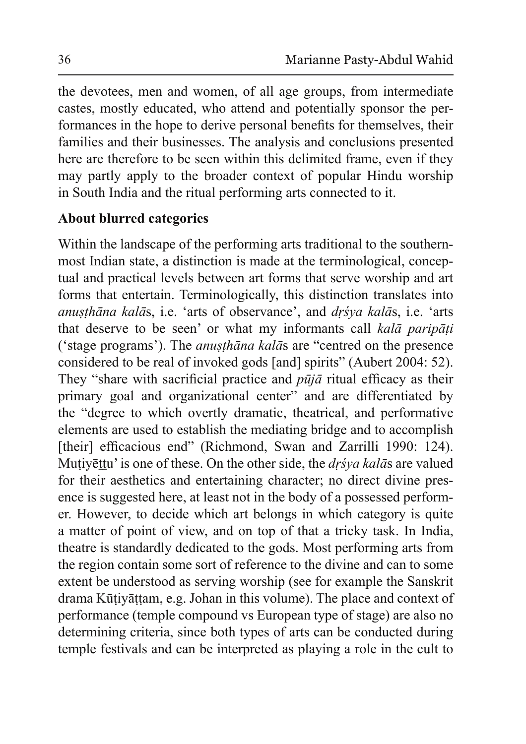the devotees, men and women, of all age groups, from intermediate castes, mostly educated, who attend and potentially sponsor the performances in the hope to derive personal benefits for themselves, their families and their businesses. The analysis and conclusions presented here are therefore to be seen within this delimited frame, even if they may partly apply to the broader context of popular Hindu worship in South India and the ritual performing arts connected to it.

# **About blurred categories**

Within the landscape of the performing arts traditional to the southernmost Indian state, a distinction is made at the terminological, conceptual and practical levels between art forms that serve worship and art forms that entertain. Terminologically, this distinction translates into *anusthāna kalās, i.e. 'arts of observance', and drśya kalās, i.e. 'arts* that deserve to be seen' or what my informants call kala paripati ('stage programs'). The *anusthana kalas* are "centred on the presence" considered to be real of invoked gods [and] spirits" (Aubert 2004: 52). They "share with sacrificial practice and  $p\bar{u}j\bar{a}$  ritual efficacy as their primary goal and organizational center" and are differentiated by the "degree to which overtly dramatic, theatrical, and performative elements are used to establish the mediating bridge and to accomplish [their] efficacious end" (Richmond, Swan and Zarrilli 1990: 124). Mutiyettu' is one of these. On the other side, the *dr's ya kalas* are valued for their aesthetics and entertaining character; no direct divine presence is suggested here, at least not in the body of a possessed performer. However, to decide which art belongs in which category is quite a matter of point of view, and on top of that a tricky task. In India, theatre is standardly dedicated to the gods. Most performing arts from the region contain some sort of reference to the divine and can to some extent be understood as serving worship (see for example the Sanskrit drama Kūtiyāttam, e.g. Johan in this volume). The place and context of performance (temple compound vs European type of stage) are also no determining criteria, since both types of arts can be conducted during temple festivals and can be interpreted as playing a role in the cult to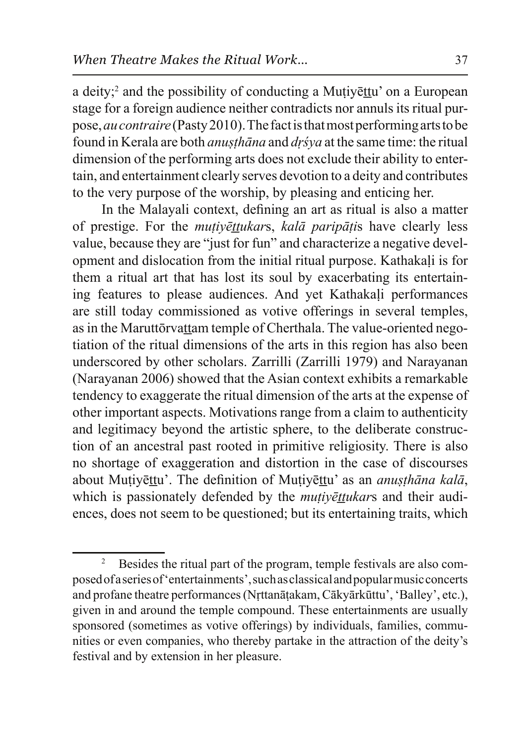a deity;<sup>2</sup> and the possibility of conducting a Mutiyettu' on a European stage for a foreign audience neither contradicts nor annuls its ritual purpose, *au contraire* (Pasty 2010). The fact is that most performing arts to be found in Kerala are both *anusthana* and *dr's* va at the same time: the ritual dimension of the performing arts does not exclude their ability to entertain, and entertainment clearly serves devotion to a deity and contributes to the very purpose of the worship, by pleasing and enticing her.

In the Malayali context, defining an art as ritual is also a matter of prestige. For the *mutivettukars*, *kalā paripātis* have clearly less value, because they are "just for fun" and characterize a negative development and dislocation from the initial ritual purpose. Kathakali is for them a ritual art that has lost its soul by exacerbating its entertaining features to please audiences. And yet Kathakali performances are still today commissioned as votive offerings in several temples, as in the Maruttorvattam temple of Cherthala. The value-oriented negotiation of the ritual dimensions of the arts in this region has also been underscored by other scholars. Zarrilli (Zarrilli 1979) and Narayanan (Narayanan 2006) showed that the Asian context exhibits a remarkable tendency to exaggerate the ritual dimension of the arts at the expense of other important aspects. Motivations range from a claim to authenticity and legitimacy beyond the artistic sphere, to the deliberate construction of an ancestral past rooted in primitive religiosity. There is also no shortage of exaggeration and distortion in the case of discourses about Mutiyettu'. The definition of Mutiyettu' as an *anusthana kala*, which is passionately defended by the *mutivettukars* and their audiences, does not seem to be questioned; but its entertaining traits, which

<sup>2</sup> Besides the ritual part of the program, temple festivals are also composed of a series of 'entertainments', such as classical and popular music concerts and profane theatre performances (Nrttanātakam, Cākyārkūttu', 'Balley', etc.), given in and around the temple compound. These entertainments are usually sponsored (sometimes as votive offerings) by individuals, families, communities or even companies, who thereby partake in the attraction of the deity's festival and by extension in her pleasure.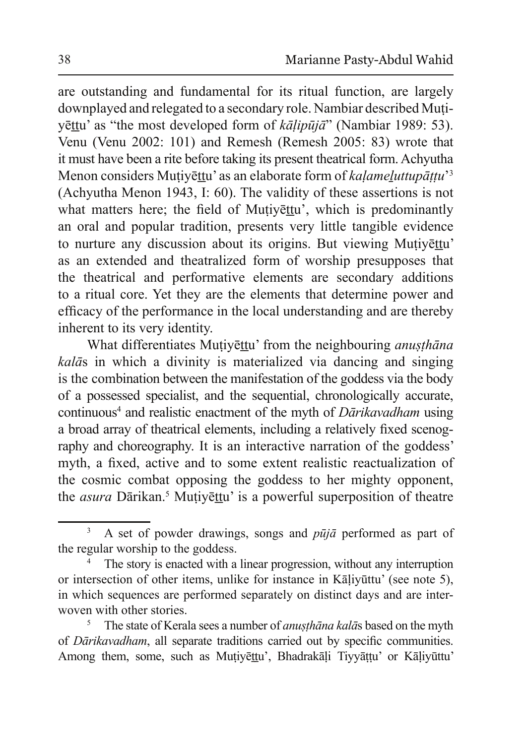are outstanding and fundamental for its ritual function, are largely downplayed and relegated to a secondary role. Nambiar described Mutivēttu<sup>'</sup> as "the most developed form of  $k\bar{a}$ *lipu*jā" (Nambiar 1989: 53). Venu (Venu 2002: 101) and Remesh (Remesh 2005: 83) wrote that it must have been a rite before taking its present theatrical form. Achyutha Menon considers Muțiyēttu' as an elaborate form of kaļame<u>l</u>uttupāțțu<sup>3</sup> (Achyutha Menon 1943, I: 60). The validity of these assertions is not what matters here; the field of Mutivettu', which is predominantly an oral and popular tradition, presents very little tangible evidence to nurture any discussion about its origins. But viewing Mutivettu' as an extended and theatralized form of worship presupposes that the theatrical and performative elements are secondary additions to a ritual core. Yet they are the elements that determine power and efficacy of the performance in the local understanding and are thereby inherent to its very identity.

What differentiates Mutivettu' from the neighbouring *anusthana kalās* in which a divinity is materialized via dancing and singing is the combination between the manifestation of the goddess via the body of a possessed specialist, and the sequential, chronologically accurate, continuous<sup>4</sup> and realistic enactment of the myth of *Dārikavadham* using a broad array of theatrical elements, including a relatively fixed scenography and choreography. It is an interactive narration of the goddess' myth, a fixed, active and to some extent realistic reactualization of the cosmic combat opposing the goddess to her mighty opponent, the *asura* Dārikan.<sup>5</sup> Muțiyēttu' is a powerful superposition of theatre

<sup>3</sup> A set of powder drawings, songs and *pūjā* performed as part of the regular worship to the goddess.

<sup>4</sup> The story is enacted with a linear progression, without any interruption or intersection of other items, unlike for instance in Kaliyuttu' (see note 5), in which sequences are performed separately on distinct days and are interwoven with other stories.

<sup>5</sup> The state of Kerala sees a number of *anusthana kalas* based on the myth of *Dārikavadham*, all separate traditions carried out by specific communities. Among them, some, such as Muțiyettu', Bhadrakaļi Tiyyattu' or Kaļiyūttu'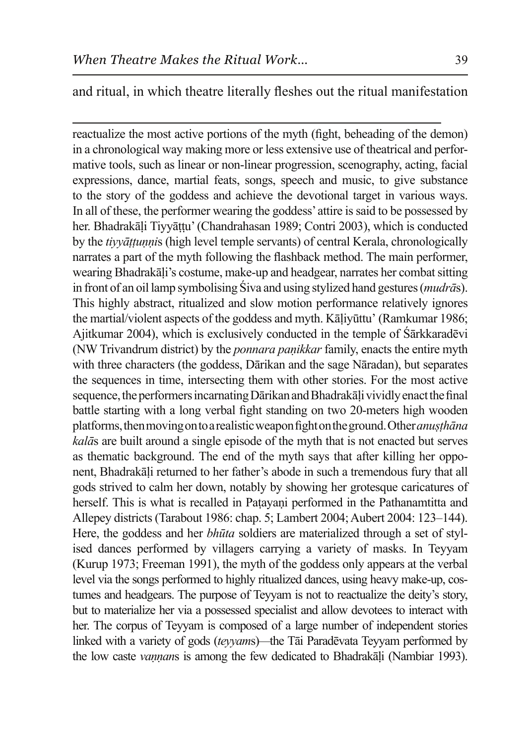and ritual, in which theatre literally fleshes out the ritual manifestation

reactualize the most active portions of the myth (fight, beheading of the demon) in a chronological way making more or less extensive use of theatrical and performative tools, such as linear or non-linear progression, scenography, acting, facial expressions, dance, martial feats, songs, speech and music, to give substance to the story of the goddess and achieve the devotional target in various ways. In all of these, the performer wearing the goddess' attire is said to be possessed by her. Bhadrakāli Tiyyāṭṭu' (Chandrahasan 1989; Contri 2003), which is conducted by the *tiyvāttunnis* (high level temple servants) of central Kerala, chronologically narrates a part of the myth following the flashback method. The main performer, wearing Bhadrakāli's costume, make-up and headgear, narrates her combat sitting in front of an oil lamp symbolising Siva and using stylized hand gestures (*mudrās*). This highly abstract, ritualized and slow motion performance relatively ignores the martial/violent aspects of the goddess and myth. Kāliyūttu' (Ramkumar 1986; Ajitkumar 2004), which is exclusively conducted in the temple of Sarkkaradevi (NW Trivandrum district) by the *ponnara panikkar* family, enacts the entire myth with three characters (the goddess, Dārikan and the sage Nāradan), but separates the sequences in time, intersecting them with other stories. For the most active sequence, the performers incarnating Dārikan and Bhadrakāļi vividly enact the final battle starting with a long verbal fight standing on two 20-meters high wooden platforms, then moving on to a realistic weapon fight on the ground. Other *anusthana kalās* are built around a single episode of the myth that is not enacted but serves as the matic background. The end of the myth says that after killing her opponent, Bhadrakāli returned to her father's abode in such a tremendous fury that all gods strived to calm her down, notably by showing her grotesque caricatures of herself. This is what is recalled in Patayani performed in the Pathanamtitta and Allepey districts (Tarabout 1986: chap. 5; Lambert 2004; Aubert 2004: 123–144). Here, the goddess and her *bhūta* soldiers are materialized through a set of stylised dances performed by villagers carrying a variety of masks. In Teyyam (Kurup 1973; Freeman 1991), the myth of the goddess only appears at the verbal level via the songs performed to highly ritualized dances, using heavy make-up, costumes and headgears. The purpose of Teyyam is not to reactualize the deity's story, but to materialize her via a possessed specialist and allow devotees to interact with her. The corpus of Teyyam is composed of a large number of independent stories linked with a variety of gods (*teyyams*)—the Tāi Paradēvata Teyyam performed by the low caste *vannans* is among the few dedicated to Bhadrakali (Nambiar 1993).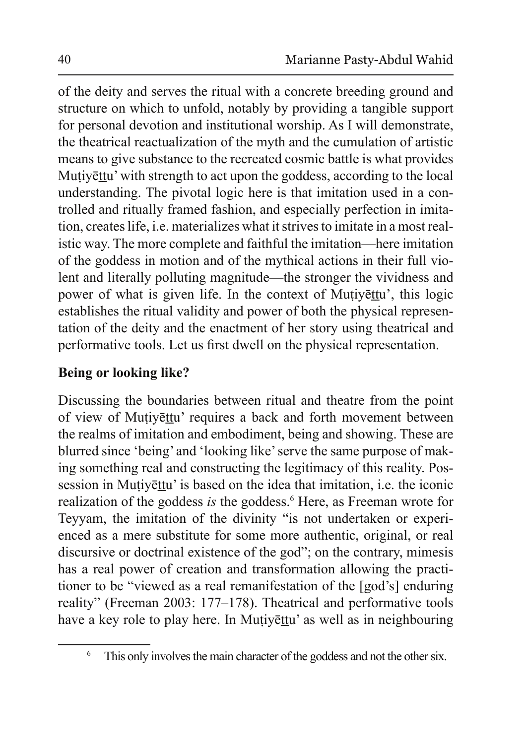of the deity and serves the ritual with a concrete breeding ground and structure on which to unfold, notably by providing a tangible support for personal devotion and institutional worship. As I will demonstrate, the theatrical reactualization of the myth and the cumulation of artistic means to give substance to the recreated cosmic battle is what provides Mutiyettu' with strength to act upon the goddess, according to the local understanding. The pivotal logic here is that imitation used in a controlled and ritually framed fashion, and especially perfection in imitation, creates life, i.e. materializes what it strives to imitate in a most realistic way. The more complete and faithful the imitation—here imitation of the goddess in motion and of the mythical actions in their full violent and literally polluting magnitude—the stronger the vividness and power of what is given life. In the context of Mutivettu', this logic establishes the ritual validity and power of both the physical representation of the deity and the enactment of her story using theatrical and performative tools. Let us first dwell on the physical representation.

# **Being or looking like?**

Discussing the boundaries between ritual and theatre from the point of view of Mutiyettu' requires a back and forth movement between the realms of imitation and embodiment, being and showing. These are blurred since 'being' and 'looking like' serve the same purpose of making something real and constructing the legitimacy of this reality. Possession in Mutivettu' is based on the idea that imitation, i.e. the iconic realization of the goddess *is* the goddess.<sup>6</sup> Here, as Freeman wrote for Teyyam, the imitation of the divinity "is not undertaken or experienced as a mere substitute for some more authentic, original, or real discursive or doctrinal existence of the god"; on the contrary, mimesis has a real power of creation and transformation allowing the practitioner to be "viewed as a real remanifiestation of the [god's] enduring reality" (Freeman 2003: 177–178). Theatrical and performative tools have a key role to play here. In Muțiyetu' as well as in neighbouring

<sup>6</sup> This only involves the main character of the goddess and not the other six.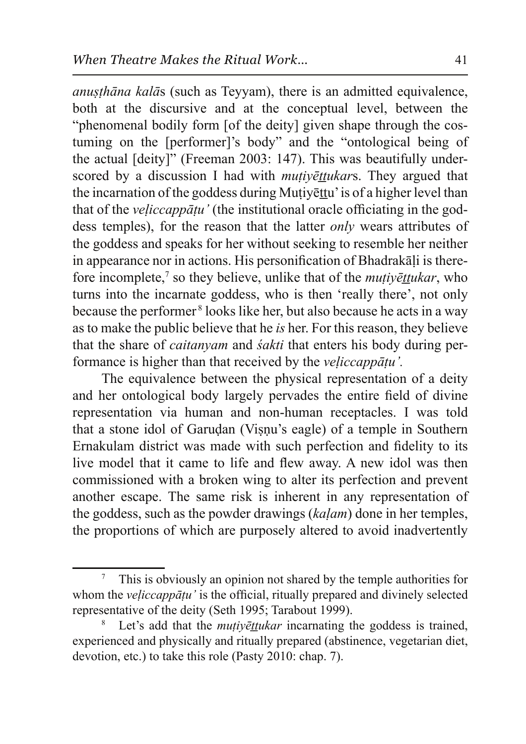*anusthāna kalās* (such as Teyyam), there is an admitted equivalence, both at the discursive and at the conceptual level, between the "phenomenal bodily form [of the deity] given shape through the costuming on the [performer]'s body" and the "ontological being of the actual  $\lceil$  deity $\rceil$ " (Freeman 2003: 147). This was beautifully underscored by a discussion I had with *mutivettukars*. They argued that the incarnation of the goddess during Mutivettu' is of a higher level than that of the *veliccappatu'* (the institutional oracle officiating in the goddess temples), for the reason that the latter *only* wears attributes of the goddess and speaks for her without seeking to resemble her neither in appearance nor in actions. His personification of Bhadrakali is therefore incomplete,<sup>7</sup> so they believe, unlike that of the *mutiyet tukar*, who turns into the incarnate goddess, who is then 'really there', not only because the performer<sup>8</sup> looks like her, but also because he acts in a way as to make the public believe that he *is* her. For this reason, they believe that the share of *caitanyam* and *sakti* that enters his body during performance is higher than that received by the *veliccappatu'*.

The equivalence between the physical representation of a deity and her ontological body largely pervades the entire field of divine representation via human and non-human receptacles. I was told that a stone idol of Garudan (Visnu's eagle) of a temple in Southern Ernakulam district was made with such perfection and fidelity to its live model that it came to life and flew away. A new idol was then commissioned with a broken wing to alter its perfection and prevent another escape. The same risk is inherent in any representation of the goddess, such as the powder drawings (*kalam*) done in her temples, the proportions of which are purposely altered to avoid inadvertently

<sup>7</sup> This is obviously an opinion not shared by the temple authorities for whom the *veliccappatu* ' is the official, ritually prepared and divinely selected representative of the deity (Seth 1995; Tarabout 1999).

<sup>8</sup> Let's add that the *mutivettukar* incarnating the goddess is trained, experienced and physically and ritually prepared (abstinence, vegetarian diet, devotion, etc.) to take this role (Pasty 2010: chap. 7).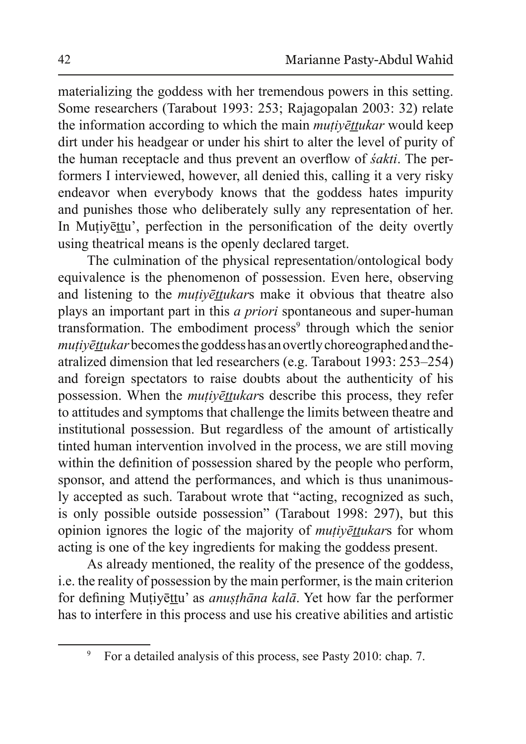materializing the goddess with her tremendous powers in this setting. Some researchers (Tarabout 1993: 253; Rajagopalan 2003: 32) relate the information according to which the main *mutivettukar* would keep dirt under his headgear or under his shirt to alter the level of purity of the human receptacle and thus prevent an overflow of *sakti*. The performers I interviewed, however, all denied this, calling it a very risky endeavor when everybody knows that the goddess hates impurity and punishes those who deliberately sully any representation of her. In Mutivettu', perfection in the personification of the deity overtly using theatrical means is the openly declared target.

The culmination of the physical representation/ontological body equivalence is the phenomenon of possession. Even here, observing and listening to the *mutivēttukars* make it obvious that theatre also plays an important part in this *a priori* spontaneous and super-human transformation. The embodiment process<sup>9</sup> through which the senior *PHOELIURAR* becomes the goddess has an overtly choreographed and theatralized dimension that led researchers (e.g. Tarabout 1993:  $253-254$ ) and foreign spectators to raise doubts about the authenticity of his possession. When the *mutivettukars* describe this process, they refer to attitudes and symptoms that challenge the limits between theatre and institutional possession. But regardless of the amount of artistically tinted human intervention involved in the process, we are still moving within the definition of possession shared by the people who perform, sponsor, and attend the performances, and which is thus unanimously accepted as such. Tarabout wrote that "acting, recognized as such, is only possible outside possession" (Tarabout 1998: 297), but this opinion ignores the logic of the majority of *mutivettukars* for whom acting is one of the key ingredients for making the goddess present.

As already mentioned, the reality of the presence of the goddess, i.e. the reality of possession by the main performer, is the main criterion for defining Muțiyettu' as *anușthāna kalā*. Yet how far the performer has to interfere in this process and use his creative abilities and artistic

<sup>9</sup> For a detailed analysis of this process, see Pasty 2010: chap. 7.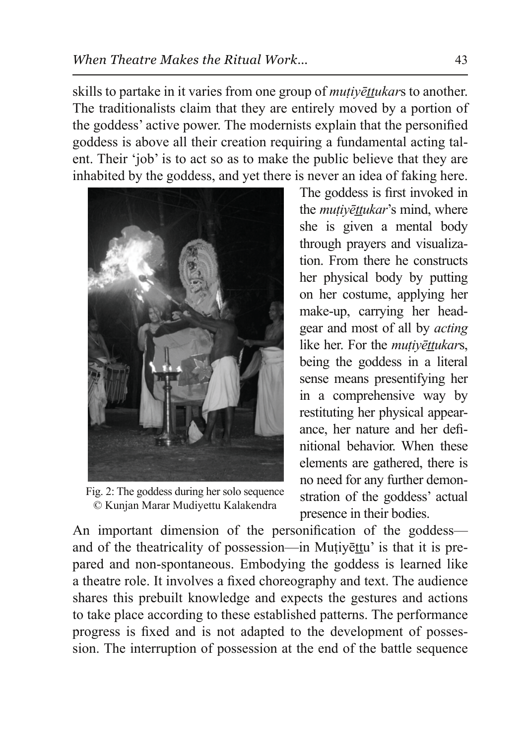skills to partake in it varies from one group of *mutivettukars* to another. The traditionalists claim that they are entirely moved by a portion of the goddess' active power. The modernists explain that the personified goddess is above all their creation requiring a fundamental acting talent. Their 'job' is to act so as to make the public believe that they are inhabited by the goddess, and yet there is never an idea of faking here.



Fig. 2: The goddess during her solo sequence © Kunjan Marar Mudiyettu Kalakendra

The goddess is first invoked in the *mutivettukar's* mind, where she is given a mental body through prayers and visualization. From there he constructs her physical body by putting on her costume, applying her make-up, carrying her headgear and most of all by *acting* like her. For the *mutivēttukars*, being the goddess in a literal sense means presentifying her in a comprehensive way by restituting her physical appearance, her nature and her definitional behavior. When these elements are gathered, there is no need for any further demonstration of the goddess' actual presence in their bodies.

An important dimension of the personification of the goddess and of the theatricality of possession—in Mutiveltu' is that it is prepared and non-spontaneous. Embodying the goddess is learned like a theatre role. It involves a fixed choreography and text. The audience shares this prebuilt knowledge and expects the gestures and actions to take place according to these established patterns. The performance progress is fixed and is not adapted to the development of possession. The interruption of possession at the end of the battle sequence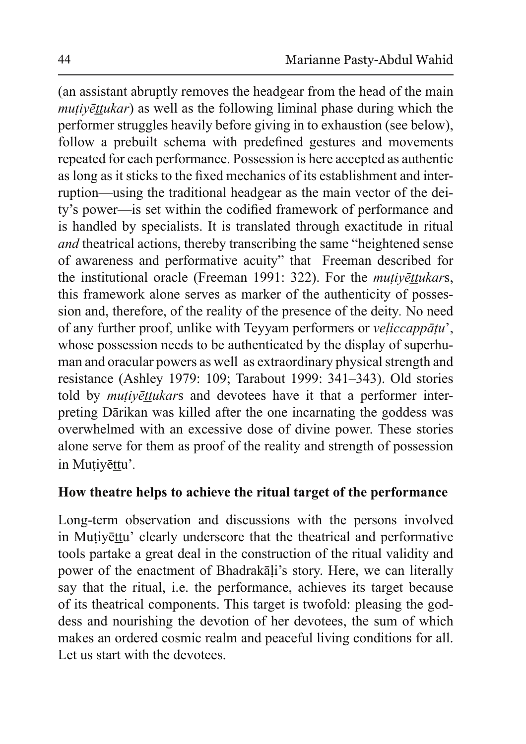(an assistant abruptly removes the headgear from the head of the main *PHmutiyēttukar*) as well as the following liminal phase during which the performer struggles heavily before giving in to exhaustion (see below). follow a prebuilt schema with predefined gestures and movements repeated for each performance. Possession is here accepted as authentic as long as it sticks to the fixed mechanics of its establishment and interruption—using the traditional headgear as the main vector of the deity's power—is set within the codified framework of performance and is handled by specialists. It is translated through exactitude in ritual *and* theatrical actions, thereby transcribing the same "heightened sense" of awareness and performative acuity" that Freeman described for the institutional oracle (Freeman 1991: 322). For the *mutivettukars*, this framework alone serves as marker of the authenticity of possession and, therefore, of the reality of the presence of the deity*.* No need of any further proof, unlike with Teyyam performers or *veliccappātu*', whose possession needs to be authenticated by the display of superhuman and oracular powers as well as extraordinary physical strength and resistance (Ashley 1979: 109; Tarabout 1999: 341-343). Old stories told by *mutivēttukars* and devotees have it that a performer interpreting Dārikan was killed after the one incarnating the goddess was overwhelmed with an excessive dose of divine power. These stories alone serve for them as proof of the reality and strength of possession in Mutiyettu'.

### **How theatre helps to achieve the ritual target of the performance**

Long-term observation and discussions with the persons involved in Mutiyettu' clearly underscore that the theatrical and performative tools partake a great deal in the construction of the ritual validity and power of the enactment of Bhadrakali's story. Here, we can literally say that the ritual, i.e. the performance, achieves its target because of its theatrical components. This target is twofold: pleasing the goddess and nourishing the devotion of her devotees, the sum of which makes an ordered cosmic realm and peaceful living conditions for all. Let us start with the devotees.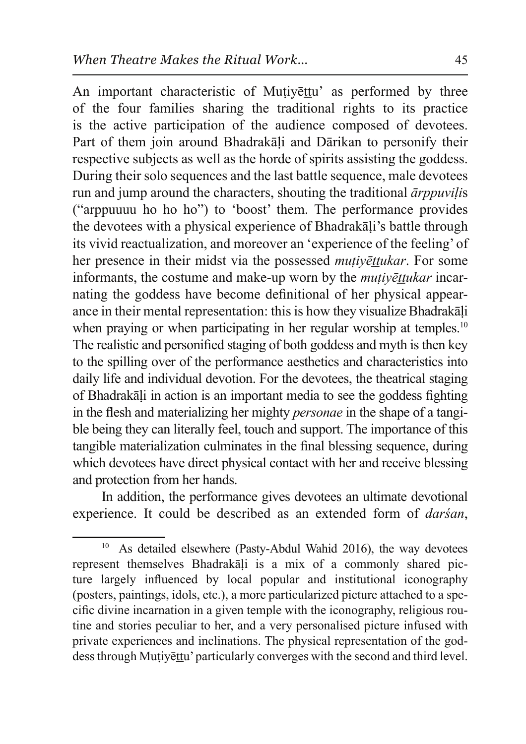An important characteristic of Mutivettu' as performed by three of the four families sharing the traditional rights to its practice is the active participation of the audience composed of devotees. Part of them join around Bhadrakali and Darikan to personify their respective subjects as well as the horde of spirits assisting the goddess. During their solo sequences and the last battle sequence, male devotees run and jump around the characters, shouting the traditional *arppuvilis* ("arppuuuu ho ho ho") to 'boost' them. The performance provides the devotees with a physical experience of Bhadrakali's battle through its vivid reactualization, and moreover an 'experience of the feeling' of her presence in their midst via the possessed *mutivettukar*. For some informants, the costume and make-up worn by the *mutivettukar* incarnating the goddess have become definitional of her physical appearance in their mental representation: this is how they visualize Bhadrakali when praying or when participating in her regular worship at temples.<sup>10</sup> The realistic and personified staging of both goddess and myth is then key to the spilling over of the performance aesthetics and characteristics into daily life and individual devotion. For the devotees, the theatrical staging of Bhadrakāli in action is an important media to see the goddess fighting in the flesh and materializing her mighty *personae* in the shape of a tangible being they can literally feel, touch and support. The importance of this tangible materialization culminates in the final blessing sequence, during which devotees have direct physical contact with her and receive blessing and protection from her hands.

In addition, the performance gives devotees an ultimate devotional experience. It could be described as an extended form of *darsan*,

 $10$  As detailed elsewhere (Pasty-Abdul Wahid 2016), the way devotees represent themselves Bhadrakali is a mix of a commonly shared picture largely influenced by local popular and institutional iconography (posters, paintings, idols, etc.), a more particularized picture attached to a specific divine incarnation in a given temple with the iconography, religious routine and stories peculiar to her, and a very personalised picture infused with private experiences and inclinations. The physical representation of the goddess through Mutiyettu' particularly converges with the second and third level.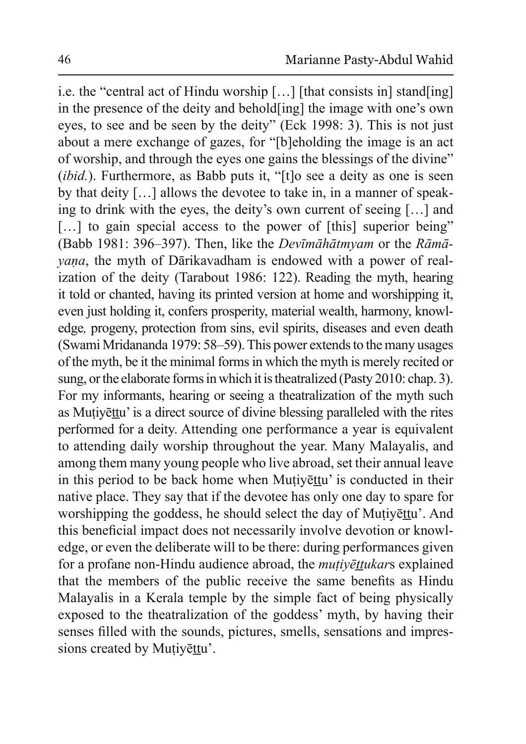i.e. the "central act of Hindu worship […] [that consists in] stand[ing] in the presence of the deity and behold [ing] the image with one's own eyes, to see and be seen by the deity" (Eck 1998: 3). This is not just about a mere exchange of gazes, for "[b]eholding the image is an act of worship, and through the eves one gains the blessings of the divine" (*ibid.*). Furthermore, as Babb puts it, "[ $t$ ] o see a deity as one is seen by that deity  $[\dots]$  allows the devotee to take in, in a manner of speaking to drink with the eyes, the deity's own current of seeing  $[\,\ldots]$  and  $\lceil \ldots \rceil$  to gain special access to the power of [this] superior being" (Babb 1981: 396–397). Then, like the *Devīmāhātmyam* or the *Rāmāyana*, the myth of Dārikavadham is endowed with a power of realization of the deity (Tarabout 1986: 122). Reading the myth, hearing it told or chanted, having its printed version at home and worshipping it, even just holding it, confers prosperity, material wealth, harmony, knowledge*,* progeny, protection from sins, evil spirits, diseases and even death ( Swami Mridananda 1979: 58–59). This power extends to the many usages of the myth, be it the minimal forms in which the myth is merely recited or sung, or the elaborate forms in which it is theatralized (Pasty 2010: chap. 3). For my informants, hearing or seeing a theatralization of the myth such as Mutiyettu' is a direct source of divine blessing paralleled with the rites performed for a deity. Attending one performance a year is equivalent to attending daily worship throughout the year. Many Malayalis, and among them many young people who live abroad, set their annual leave in this period to be back home when Mutivettu' is conducted in their native place. They say that if the devotee has only one day to spare for worshipping the goddess, he should select the day of Mutiyettu'. And this beneficial impact does not necessarily involve devotion or knowledge, or even the deliberate will to be there: during performances given for a profane non-Hindu audience abroad, the *mutivēttukars* explained that the members of the public receive the same benefits as Hindu Malayalis in a Kerala temple by the simple fact of being physically exposed to the theatralization of the goddess' myth, by having their senses filled with the sounds, pictures, smells, sensations and impressions created by Mutiyettu'.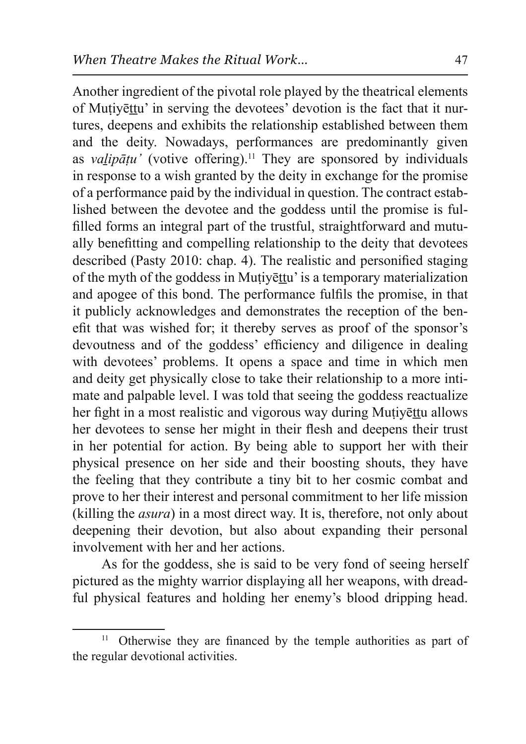Another ingredient of the pivotal role played by the theatrical elements of Mutiyettu' in serving the devotees' devotion is the fact that it nurtures, deepens and exhibits the relationship established between them and the deity. Nowadays, performances are predominantly given as *valipatu'* (votive offering).<sup>11</sup> They are sponsored by individuals in response to a wish granted by the deity in exchange for the promise of a performance paid by the individual in question. The contract established between the devotee and the goddess until the promise is fulfilled forms an integral part of the trustful, straightforward and mutually benefitting and compelling relationship to the deity that devotees described (Pasty 2010: chap. 4). The realistic and personified staging of the myth of the goddess in Mutivettu' is a temporary materialization and apogee of this bond. The performance fulfils the promise, in that it publicly acknowledges and demonstrates the reception of the benefit that was wished for; it thereby serves as proof of the sponsor's devoutness and of the goddess' efficiency and diligence in dealing with devotees' problems. It opens a space and time in which men and deity get physically close to take their relationship to a more intimate and palpable level. I was told that seeing the goddess reactualize her fight in a most realistic and vigorous way during Mutivettu allows her devotees to sense her might in their flesh and deepens their trust in her potential for action. By being able to support her with their physical presence on her side and their boosting shouts, they have the feeling that they contribute a tiny bit to her cosmic combat and prove to her their interest and personal commitment to her life mission (killing the  $asura$ ) in a most direct way. It is, therefore, not only about deepening their devotion, but also about expanding their personal involvement with her and her actions.

As for the goddess, she is said to be very fond of seeing herself pictured as the mighty warrior displaying all her weapons, with dreadful physical features and holding her enemy's blood dripping head.

<sup>&</sup>lt;sup>11</sup> Otherwise they are financed by the temple authorities as part of the regular devotional activities.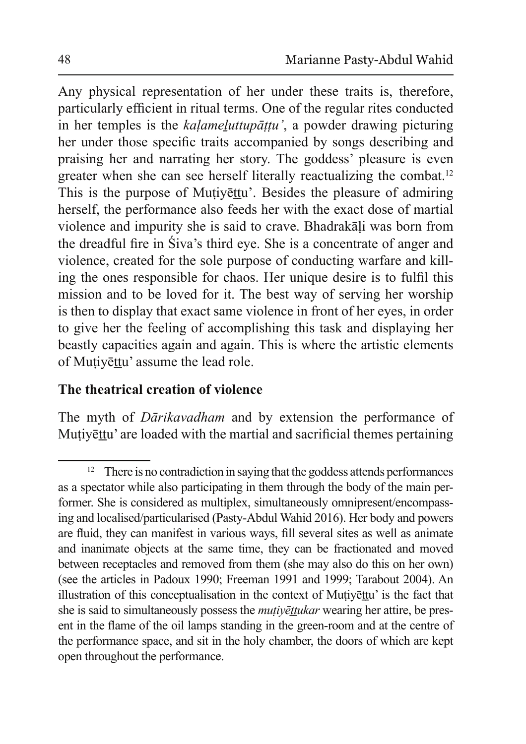Any physical representation of her under these traits is, therefore, particularly efficient in ritual terms. One of the regular rites conducted in her temples is the *kalameluttupāṭṭu'*, a powder drawing picturing her under those specific traits accompanied by songs describing and praising her and narrating her story. The goddess' pleasure is even greater when she can see herself literally reactualizing the combat.<sup>12</sup> This is the purpose of Muțiyettu'. Besides the pleasure of admiring herself, the performance also feeds her with the exact dose of martial violence and impurity she is said to crave. Bhadrakāli was born from the dreadful fire in Siva's third eye. She is a concentrate of anger and violence, created for the sole purpose of conducting warfare and killing the ones responsible for chaos. Her unique desire is to fulfil this mission and to be loved for it. The best way of serving her worship is then to display that exact same violence in front of her eyes, in order to give her the feeling of accomplishing this task and displaying her beastly capacities again and again. This is where the artistic elements of Mutiyettu' assume the lead role.

### **The theatrical creation of violence**

The myth of *Dārikavadham* and by extension the performance of Mutiyettu' are loaded with the martial and sacrificial themes pertaining

There is no contradiction in saying that the goddess attends performances as a spectator while also participating in them through the body of the main performer. She is considered as multiplex, simultaneously omnipresent/encompassing and localised/particularised (Pasty-Abdul Wahid 2016). Her body and powers are fluid, they can manifest in various ways, fill several sites as well as animate and inanimate objects at the same time, they can be fractionated and moved between receptacles and removed from them (she may also do this on her own) (see the articles in Padoux 1990; Freeman 1991 and 1999; Tarabout 2004). An illustration of this conceptualisation in the context of Mutivettu' is the fact that she is said to simultaneously possess the *mutivettukar* wearing her attire, be present in the flame of the oil lamps standing in the green-room and at the centre of the performance space, and sit in the holy chamber, the doors of which are kept open throughout the performance.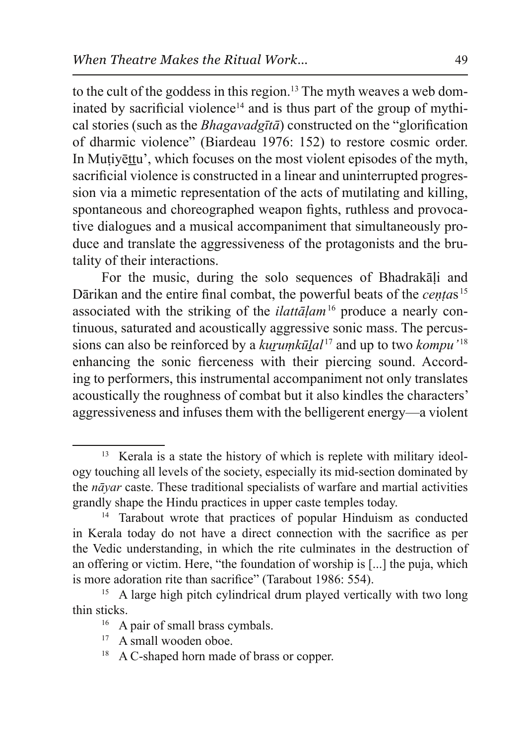to the cult of the goddess in this region.<sup>13</sup> The myth weaves a web dominated by sacrificial violence<sup>14</sup> and is thus part of the group of mythical stories (such as the *Bhagavadgta*) constructed on the "glorification" of dharmic violence" (Biardeau 1976: 152) to restore cosmic order. In Mutivettu', which focuses on the most violent episodes of the myth. sacrificial violence is constructed in a linear and uninterrupted progression via a mimetic representation of the acts of mutilating and killing, spontaneous and choreographed weapon fights, ruthless and provocative dialogues and a musical accompaniment that simultaneously produce and translate the aggressiveness of the protagonists and the brutality of their interactions.

For the music, during the solo sequences of Bhadrakali and Dārikan and the entire final combat, the powerful beats of the *centas*<sup>15</sup> associated with the striking of the *ilattalam*<sup>16</sup> produce a nearly continuous, saturated and acoustically aggressive sonic mass. The percussions can also be reinforced by a *kurumkūlal*<sup>17</sup> and up to two *kompu*<sup>'18</sup> enhancing the sonic fierceness with their piercing sound. According to performers, this instrumental accompaniment not only translates acoustically the roughness of combat but it also kindles the characters' aggressiveness and infuses them with the belligerent energy—a violent

<sup>&</sup>lt;sup>13</sup> Kerala is a state the history of which is replete with military ideology touching all levels of the society, especially its mid-section dominated by the *navar* caste. These traditional specialists of warfare and martial activities grandly shape the Hindu practices in upper caste temples today.

<sup>&</sup>lt;sup>14</sup> Tarabout wrote that practices of popular Hinduism as conducted in Kerala today do not have a direct connection with the sacrifice as per the Vedic understanding, in which the rite culminates in the destruction of an offering or victim. Here, "the foundation of worship is [...] the puja, which is more adoration rite than sacrifice" (Tarabout 1986: 554).

<sup>&</sup>lt;sup>15</sup> A large high pitch cylindrical drum played vertically with two long thin sticks.

 $16$  A pair of small brass cymbals.

 $17$  A small wooden oboe.

 $18$  A C-shaped horn made of brass or copper.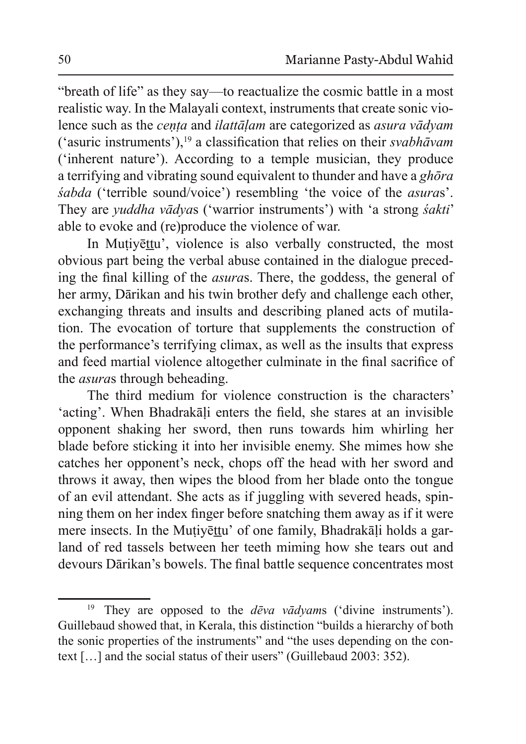"breath of life" as they say—to reactualize the cosmic battle in a most realistic way. In the Malayali context, instruments that create sonic violence such as the *centa* and *ilattalam* are categorized as *asura vadyam*  $('a$ suric instruments'),<sup>19</sup> a classification that relies on their *svabhāvam*  $(i$ nherent nature'). According to a temple musician, they produce a terrifying and vibrating sound equivalent to thunder and have a *ghora šabda* ('terrible sound/voice') resembling 'the voice of the *asuras*'. They are *yuddha vādyas* ('warrior instruments') with 'a strong *śakti'* able to evoke and (re)produce the violence of war.

In Mutiyettu', violence is also verbally constructed, the most obvious part being the verbal abuse contained in the dialogue preceding the final killing of the *asuras*. There, the goddess, the general of her army, Dārikan and his twin brother defy and challenge each other, exchanging threats and insults and describing planed acts of mutilation. The evocation of torture that supplements the construction of the performance's terrifying climax, as well as the insults that express and feed martial violence altogether culminate in the final sacrifice of the *asuras* through beheading.

The third medium for violence construction is the characters' 'acting'. When Bhadrakāļi enters the field, she stares at an invisible opponent shaking her sword, then runs towards him whirling her blade before sticking it into her invisible enemy. She mimes how she catches her opponent's neck, chops off the head with her sword and throws it away, then wipes the blood from her blade onto the tongue of an evil attendant. She acts as if juggling with severed heads, spinning them on her index finger before snatching them away as if it were mere insects. In the Mutiyettu' of one family, Bhadrakali holds a garland of red tassels between her teeth miming how she tears out and devours Dārikan's bowels. The final battle sequence concentrates most

<sup>&</sup>lt;sup>19</sup> They are opposed to the *dēva vādyam*s ('divine instruments'). Guillebaud showed that, in Kerala, this distinction "builds a hierarchy of both the sonic properties of the instruments" and "the uses depending on the context  $[\dots]$  and the social status of their users" (Guillebaud 2003: 352).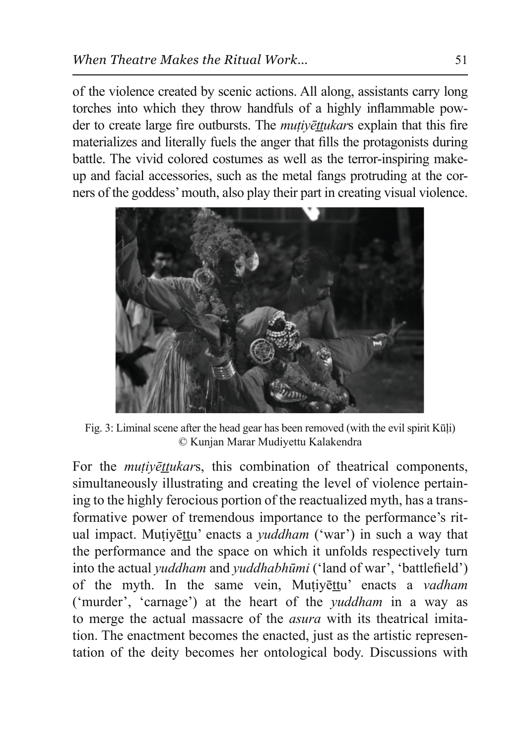of the violence created by scenic actions. All along, assistants carry long torches into which they throw handfuls of a highly inflammable powder to create large fire outbursts. The *mutivettukars* explain that this fire materializes and literally fuels the anger that fills the protagonists during battle. The vivid colored costumes as well as the terror-inspiring makeup and facial accessories, such as the metal fangs protruding at the corners of the goddess' mouth, also play their part in creating visual violence.



Fig. 3: Liminal scene after the head gear has been removed (with the evil spirit Kūli) © Kunjan Marar Mudiyettu Kalakendra

For the *mutivettukars*, this combination of theatrical components, simultaneously illustrating and creating the level of violence pertaining to the highly ferocious portion of the reactualized myth, has a transformative power of tremendous importance to the performance's ritual impact. Mutiyettu' enacts a *yuddham* ('war') in such a way that the performance and the space on which it unfolds respectively turn into the actual *yuddham* and *yuddhabhūmi* ('land of war', 'battlefield') of the myth. In the same vein, Mutivettu' enacts a *vadham* ('murder', 'carnage') at the heart of the *yuddham* in a way as to merge the actual massacre of the *asura* with its theatrical imitation. The enactment becomes the enacted, just as the artistic representation of the deity becomes her ontological body. Discussions with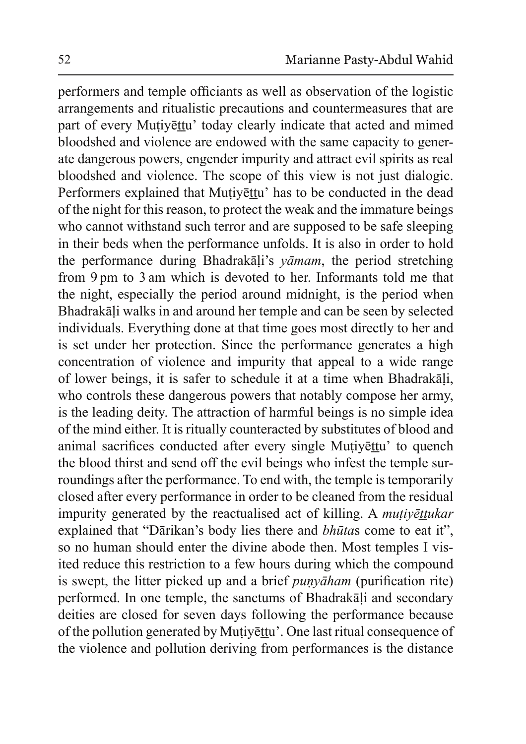performers and temple officiants as well as observation of the logistic arrangements and ritualistic precautions and countermeasures that are part of every Muțiyettu' today clearly indicate that acted and mimed bloodshed and violence are endowed with the same capacity to generate dangerous powers, engender impurity and attract evil spirits as real bloodshed and violence. The scope of this view is not just dialogic. Performers explained that Muțiyetu' has to be conducted in the dead of the night for this reason, to protect the weak and the immature beings who cannot withstand such terror and are supposed to be safe sleeping in their beds when the performance unfolds. It is also in order to hold the performance during Bhadrakali's *yamam*, the period stretching from 9 pm to 3 am which is devoted to her. Informants told me that the night, especially the period around midnight, is the period when Bhadrakāļi walks in and around her temple and can be seen by selected individuals. Everything done at that time goes most directly to her and is set under her protection. Since the performance generates a high concentration of violence and impurity that appeal to a wide range of lower beings, it is safer to schedule it at a time when Bhadrakali, who controls these dangerous powers that notably compose her army, is the leading deity. The attraction of harmful beings is no simple idea of the mind either. It is ritually counteracted by substitutes of blood and animal sacrifices conducted after every single Muțiyettu' to quench the blood thirst and send off the evil beings who infest the temple surroundings after the performance. To end with, the temple is temporarily closed after every performance in order to be cleaned from the residual impurity generated by the reactualised act of killing. A *mutiyēttukar* explained that "Dārikan's body lies there and *bhūtas* come to eat it", so no human should enter the divine abode then. Most temples I visited reduce this restriction to a few hours during which the compound is swept, the litter picked up and a brief *punyaham* (purification rite) performed. In one temple, the sanctums of Bhadrakali and secondary deities are closed for seven days following the performance because of the pollution generated by Mutiyettu'. One last ritual consequence of the violence and pollution deriving from performances is the distance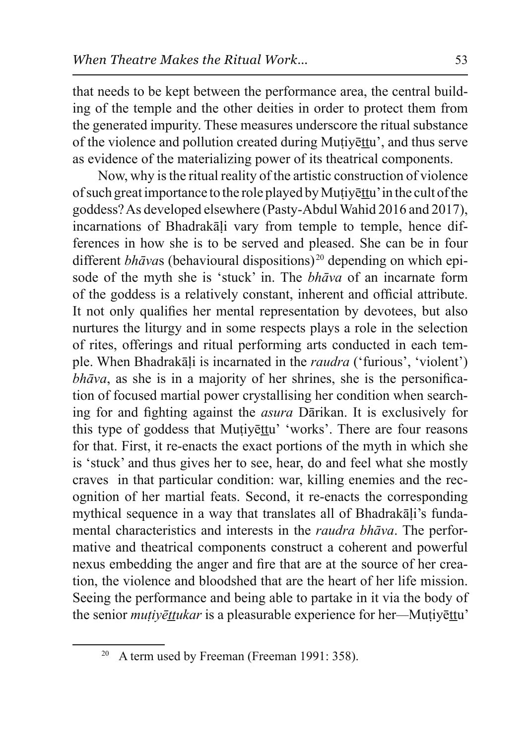that needs to be kept between the performance area, the central building of the temple and the other deities in order to protect them from the generated impurity. These measures underscore the ritual substance of the violence and pollution created during Mutivettu', and thus serve as evidence of the materializing power of its theatrical components.

Now, why is the ritual reality of the artistic construction of violence of such great importance to the role played by Mutiyettu' in the cult of the goddess? As developed elsewhere (Pasty-Abdul Wahid 2016 and 2017), incarnations of Bhadrakali vary from temple to temple, hence differences in how she is to be served and pleased. She can be in four different *bhāva*s (behavioural dispositions)<sup>20</sup> depending on which episode of the myth she is 'stuck' in. The *bhava* of an incarnate form of the goddess is a relatively constant, inherent and official attribute. It not only qualifies her mental representation by devotees, but also nurtures the liturgy and in some respects plays a role in the selection of rites, offerings and ritual performing arts conducted in each temple. When Bhadrakali is incarnated in the *raudra* ('furious', 'violent') *bhāva*, as she is in a majority of her shrines, she is the personification of focused martial power crystallising her condition when searching for and fighting against the *asura* Darikan. It is exclusively for this type of goddess that Mutivettu' 'works'. There are four reasons for that. First, it re-enacts the exact portions of the myth in which she is 'stuck' and thus gives her to see, hear, do and feel what she mostly craves in that particular condition: war, killing enemies and the recognition of her martial feats. Second, it re-enacts the corresponding mythical sequence in a way that translates all of Bhadrakali's fundamental characteristics and interests in the *raudra bhāva*. The performative and theatrical components construct a coherent and powerful nexus embedding the anger and fire that are at the source of her creation, the violence and bloodshed that are the heart of her life mission. Seeing the performance and being able to partake in it via the body of the senior *mutivēttukar* is a pleasurable experience for her—Mutivēttu'

<sup>&</sup>lt;sup>20</sup> A term used by Freeman (Freeman 1991: 358).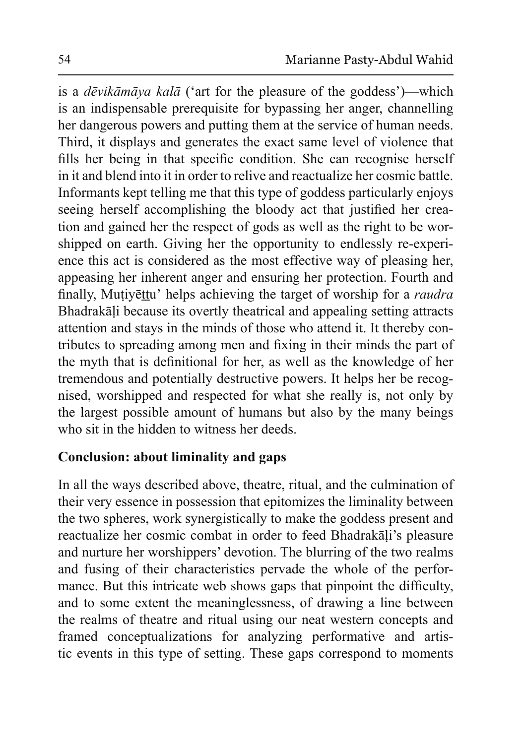is a *dēvikāmāya kalā* ('art for the pleasure of the goddess')—which is an indispensable prerequisite for bypassing her anger, channelling her dangerous powers and putting them at the service of human needs. Third, it displays and generates the exact same level of violence that fills her being in that specific condition. She can recognise herself in it and blend into it in order to relive and reactualize her cosmic battle. Informants kept telling me that this type of goddess particularly enjoys seeing herself accomplishing the bloody act that justified her creation and gained her the respect of gods as well as the right to be worshipped on earth. Giving her the opportunity to endlessly re-experience this act is considered as the most effective way of pleasing her, appeasing her inherent anger and ensuring her protection. Fourth and finally. Mutivettu' helps achieving the target of worship for a *raudra* Bhadrakāli because its overtly theatrical and appealing setting attracts attention and stays in the minds of those who attend it. It thereby contributes to spreading among men and fixing in their minds the part of the myth that is definitional for her, as well as the knowledge of her tremendous and potentially destructive powers. It helps her be recognised, worshipped and respected for what she really is, not only by the largest possible amount of humans but also by the many beings who sit in the hidden to witness her deeds.

# **Conclusion: about liminality and gaps**

In all the ways described above, theatre, ritual, and the culmination of their very essence in possession that epitomizes the liminality between the two spheres, work synergistically to make the goddess present and reactualize her cosmic combat in order to feed Bhadrakali's pleasure and nurture her worshippers' devotion. The blurring of the two realms and fusing of their characteristics pervade the whole of the performance. But this intricate web shows gaps that pinpoint the difficulty, and to some extent the meaninglessness, of drawing a line between the realms of theatre and ritual using our neat western concepts and framed conceptualizations for analyzing performative and artistic events in this type of setting. These gaps correspond to moments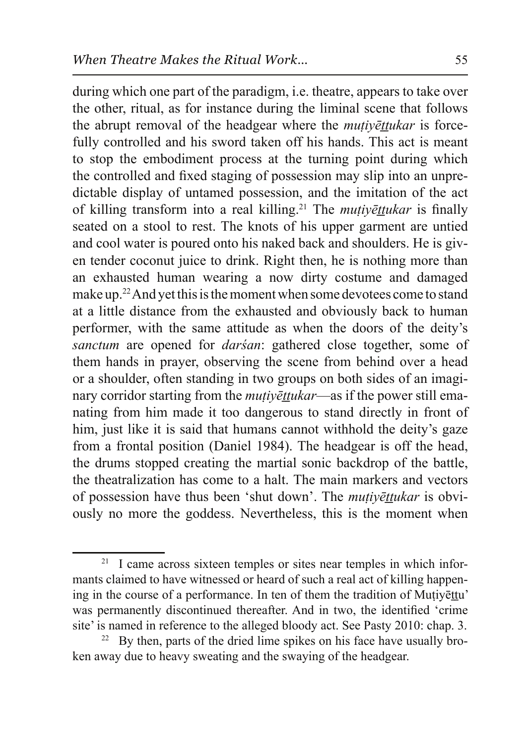during which one part of the paradigm, i.e. theatre, appears to take over the other, ritual, as for instance during the liminal scene that follows the abrupt removal of the headgear where the *mutivettukar* is forcefully controlled and his sword taken off his hands. This act is meant to stop the embodiment process at the turning point during which the controlled and fixed staging of possession may slip into an unpredictable display of untamed possession, and the imitation of the act of killing transform into a real killing.<sup>21</sup> The *mutivettukar* is finally seated on a stool to rest. The knots of his upper garment are untied and cool water is poured onto his naked back and shoulders. He is given tender coconut juice to drink. Right then, he is nothing more than an exhausted human wearing a now dirty costume and damaged make up.<sup>22</sup> And yet this is the moment when some devotees come to stand at a little distance from the exhausted and obviously back to human performer, with the same attitude as when the doors of the deity's *sanctum* are opened for *darsan*: gathered close together, some of them hands in prayer, observing the scene from behind over a head or a shoulder, often standing in two groups on both sides of an imaginary corridor starting from the *muțiy* ettil and if the power still emanating from him made it too dangerous to stand directly in front of him, just like it is said that humans cannot withhold the deity's gaze from a frontal position (Daniel 1984). The headgear is off the head, the drums stopped creating the martial sonic backdrop of the battle, the theatralization has come to a halt. The main markers and vectors of possession have thus been 'shut down'. The *mutivettukar* is obviously no more the goddess. Nevertheless, this is the moment when

 $21$  I came across sixteen temples or sites near temples in which informants claimed to have witnessed or heard of such a real act of killing happening in the course of a performance. In ten of them the tradition of Mutivertu' was permanently discontinued thereafter. And in two, the identified 'crime site' is named in reference to the alleged bloody act. See Pasty 2010: chap. 3.

<sup>&</sup>lt;sup>22</sup> By then, parts of the dried lime spikes on his face have usually broken away due to heavy sweating and the swaying of the headgear.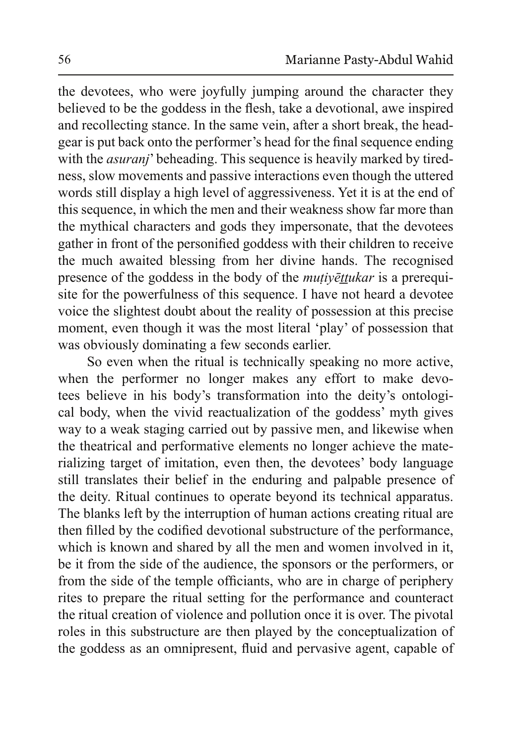the devotees, who were joyfully jumping around the character they believed to be the goddess in the flesh, take a devotional, awe inspired and recollecting stance. In the same vein, after a short break, the headgear is put back onto the performer's head for the final sequence ending with the *asuranj*' beheading. This sequence is heavily marked by tiredness, slow movements and passive interactions even though the uttered words still display a high level of aggressiveness. Yet it is at the end of this sequence, in which the men and their weakness show far more than the mythical characters and gods they impersonate, that the devotees gather in front of the personified goddess with their children to receive the much awaited blessing from her divine hands. The recognised presence of the goddess in the body of the *mutivettukar* is a prerequisite for the powerfulness of this sequence. I have not heard a devotee voice the slightest doubt about the reality of possession at this precise moment, even though it was the most literal 'play' of possession that was obviously dominating a few seconds earlier.

So even when the ritual is technically speaking no more active, when the performer no longer makes any effort to make devotees believe in his body's transformation into the deity's ontological body, when the vivid reactualization of the goddess' myth gives way to a weak staging carried out by passive men, and likewise when the theatrical and performative elements no longer achieve the materializing target of imitation, even then, the devotees' body language still translates their belief in the enduring and palpable presence of the deity. Ritual continues to operate beyond its technical apparatus. The blanks left by the interruption of human actions creating ritual are then filled by the codified devotional substructure of the performance, which is known and shared by all the men and women involved in it, be it from the side of the audience, the sponsors or the performers, or from the side of the temple officiants, who are in charge of periphery rites to prepare the ritual setting for the performance and counteract the ritual creation of violence and pollution once it is over. The pivotal roles in this substructure are then played by the conceptualization of the goddess as an omnipresent, fluid and pervasive agent, capable of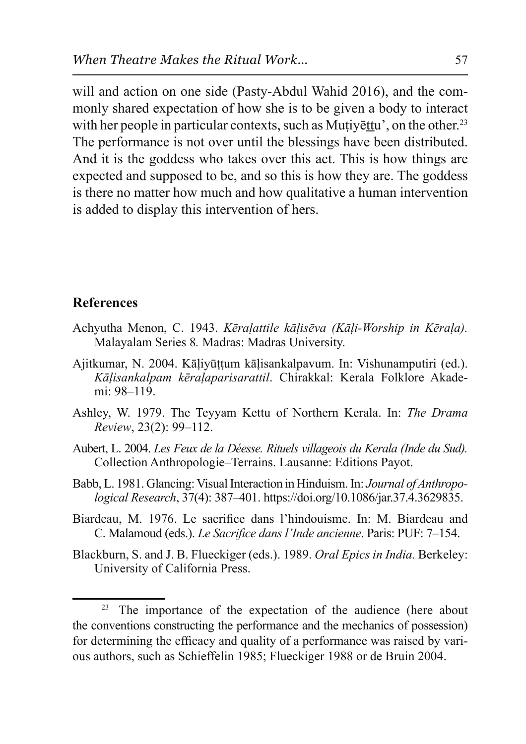will and action on one side (Pasty-Abdul Wahid 2016), and the commonly shared expectation of how she is to be given a body to interact with her people in particular contexts, such as Mutivettu', on the other.<sup>23</sup> The performance is not over until the blessings have been distributed. And it is the goddess who takes over this act. This is how things are expected and supposed to be, and so this is how they are. The goddess is there no matter how much and how qualitative a human intervention is added to display this intervention of hers.

#### **References**

- Achyutha Menon, C. 1943. *Kēralattile kālisēva (Kāli-Worship in Kērala)*. Malayalam Series 8. Madras: Madras University.
- Ajitkumar, N. 2004. Kālivūttum kālisankalpavum. In: Vishunamputiri (ed.). Kāļisankalpam kēraļaparisarattil. Chirakkal: Kerala Folklore Akademi: 98–119.
- Ashley, W. 1979. The Teyyam Kettu of Northern Kerala. In: *The Drama Review*, 23(2): 99–112.
- Aubert, L. 2004. *Les Feux de la Déesse. Rituels villageois du Kerala (Inde du Sud).* Collection Anthropologie–Terrains. Lausanne: Editions Payot.
- Babb, L. 1981. Glancing: Visual Interaction in Hinduism. In: *Journal of Anthropological Research*, 37(4): 387–401. https://doi.org/10.1086/jar.37.4.3629835.
- Biardeau, M. 1976. Le sacrifice dans l'hindouisme. In: M. Biardeau and C. Malamoud (eds.). *Le Sacrifice dans l'Inde ancienne*. Paris: PUF: 7-154.
- Blackburn, S. and J. B. Flueckiger (eds.). 1989. *Oral Epics in India*. Berkeley: University of California Press.

<sup>&</sup>lt;sup>23</sup> The importance of the expectation of the audience (here about the conventions constructing the performance and the mechanics of possession) for determining the efficacy and quality of a performance was raised by various authors, such as Schieffelin 1985; Flueckiger 1988 or de Bruin 2004.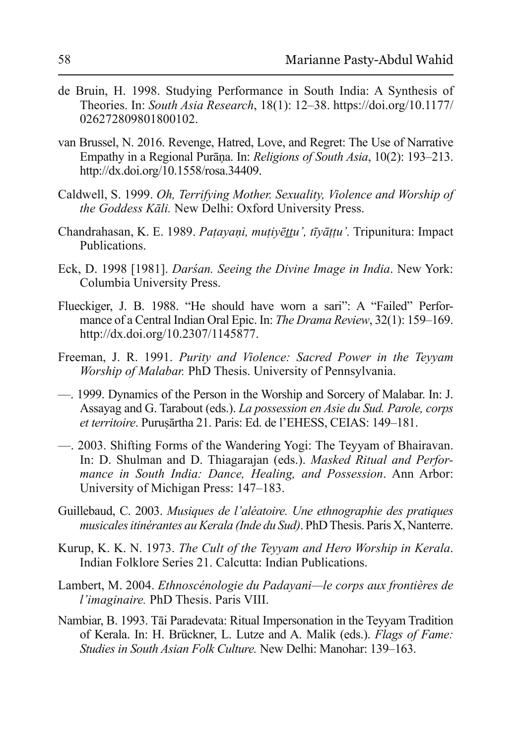- de Bruin, H. 1998. Studying Performance in South India: A Synthesis of Theories. In: *South Asia Research*, 18(1): 12–38. https://doi.org/10.1177/ 026272809801800102.
- van Brussel, N. 2016. Revenge, Hatred, Love, and Regret: The Use of Narrative Empathy in a Regional Purana. In: *Religions of South Asia*, 10(2): 193–213. http://dx.doi.org/10.1558/rosa.34409.
- Caldwell, S. 1999. *Oh, Terrifying Mother. Sexuality, Violence and Worship of the Goddess Kāli.* New Delhi: Oxford University Press.
- Chandrahasan, K. E. 1989. *Patayani, muțiyēttu', tīyāțțu'*. Tripunitura: Impact Publications.
- Eck, D. 1998 [1981]. *Darsan. Seeing the Divine Image in India*. New York: Columbia University Press.
- Flueckiger, J. B. 1988. "He should have worn a sari": A "Failed" Perfor mance of a Central Indian Oral Epic. In: *The Drama Review*, 32(1): 159–169. http://dx.doi.org/10.2307/1145877.
- Freeman, J. R. 1991. *Purity and Violence: Sacred Power in the Teyyam Worship of Malabar.* PhD Thesis. University of Pennsylvania.
- 1999. Dynamics of the Person in the Worship and Sorcery of Malabar. In: J. Assayag and G. Tarabout (eds.). *La possession en Asie du Sud. Parole, corps et territoire*. Purusārtha 21. Paris: Ed. de l'EHESS, CEIAS: 149-181.
- 2003. Shifting Forms of the Wandering Yogi: The Teyyam of Bhairavan. In: D. Shulman and D. Thiagarajan (eds.). *Masked Ritual and Performance in South India: Dance, Healing, and Possession. Ann Arbor:* University of Michigan Press: 147–183.
- Guillebaud, C. 2003. *Musiques de l'aléatoire*. Une ethnographie des pratiques *Prusicales itinérantes au Kerala (Inde du Sud)*. PhD Thesis. Paris X, Nanterre.
- Kurup, K. K. N. 1973. *The Cult of the Teyyam and Hero Worship in Kerala.* Indian Folklore Series 21. Calcutta: Indian Publications.
- Lambert, M. 2004. *Ethnoscénologie du Padayani—le corps aux frontières de l'imaginaire*. PhD Thesis. Paris VIII.
- Nambiar, B. 1993. Tāi Paradevata: Ritual Impersonation in the Teyyam Tradition of Kerala. In: H. Brückner, L. Lutze and A. Malik (eds.). *Flags of Fame: Studies in South Asian Folk Culture.* New Delhi: Manohar: 139–163.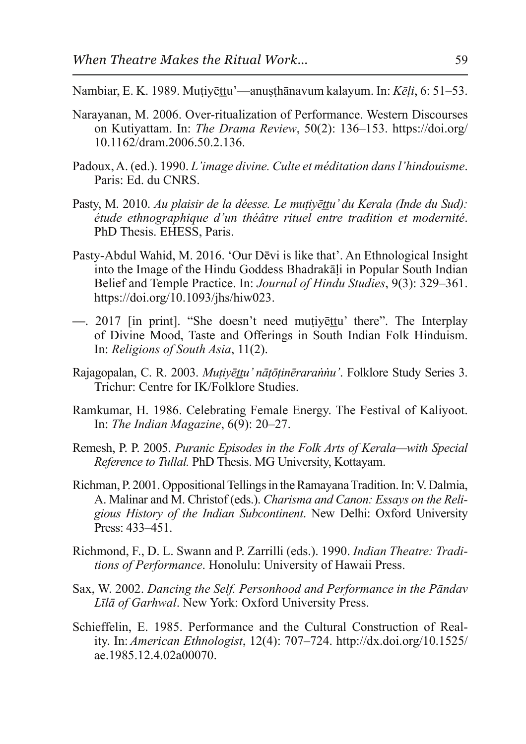Nambiar, E. K. 1989. Mutiyēttu<sup>2</sup>—anusthānavum kalayum. In: Kēļi, 6: 51–53.

- Narayanan, M. 2006. Over-ritualization of Performance. Western Discourses on Kutiyattam. In: *The Drama Review*, 50(2): 136–153. https://doi.org/ 10.1162/dram.2006.50.2.136.
- Padoux, A. (ed.). 1990. L'image divine. Culte et méditation dans l'hindouisme. Paris: Ed. du CNRS.
- Pasty, M. 2010. *Au plaisir de la déesse. Le mutivēttu' du Kerala (Inde du Sud):* étude ethnographique d'un théâtre rituel entre tradition et modernité. PhD Thesis. EHESS, Paris.
- Pasty-Abdul Wahid, M. 2016. 'Our Dēvi is like that'. An Ethnological Insight into the Image of the Hindu Goddess Bhadrakali in Popular South Indian Belief and Temple Practice. In: *Journal of Hindu Studies*, 9(3): 329–361. https://doi.org/10.1093/jhs/hiw023.
- 2017 [in print]. "She doesn't need mutively there". The Interplay of Divine Mood, Taste and Offerings in South Indian Folk Hinduism. In: *Religions of South Asia*, 11(2).
- Rajagopalan, C. R. 2003. *Mutivēttu' nātōtinērarannu'*. Folklore Study Series 3. Trichur: Centre for IK/Folklore Studies.
- Ramkumar, H. 1986. Celebrating Female Energy. The Festival of Kaliyoot. In: *The Indian Magazine*, 6(9): 20–27.
- Remesh, P. P. 2005. *Puranic Episodes in the Folk Arts of Kerala—with Special Reference to Tullal.* PhD Thesis. MG University, Kottayam.
- Richman, P. 2001. Oppositional Tellings in the Ramayana Tradition. In: V. Dalmia, A. Malinar and M. Christof (eds.). *Charisma and Canon: Essays on the Reli*gious History of the Indian Subcontinent. New Delhi: Oxford University Press:  $433 - 451$ .
- Richmond, F., D. L. Swann and P. Zarrilli (eds.). 1990. *Indian Theatre: Traditions of Performance*. Honolulu: University of Hawaii Press.
- Sax, W. 2002. *Dancing the Self. Personhood and Performance in the Pāndav Līlā of Garhwal.* New York: Oxford University Press.
- Schieffelin, E. 1985. Performance and the Cultural Construction of Reality. In: *American Ethnologist*, 12(4): 707–724. http://dx.doi.org/10.1525/ ae.1985.12.4.02a00070.